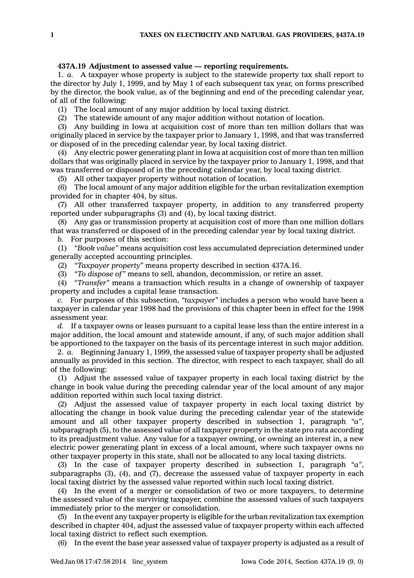## **437A.19 Adjustment to assessed value — reporting requirements.**

1. *a.* A taxpayer whose property is subject to the statewide property tax shall report to the director by July 1, 1999, and by May 1 of each subsequent tax year, on forms prescribed by the director, the book value, as of the beginning and end of the preceding calendar year, of all of the following:

(1) The local amount of any major addition by local taxing district.

(2) The statewide amount of any major addition without notation of location.

(3) Any building in Iowa at acquisition cost of more than ten million dollars that was originally placed in service by the taxpayer prior to January 1, 1998, and that was transferred or disposed of in the preceding calendar year, by local taxing district.

(4) Any electric power generating plant in Iowa at acquisition cost of more than ten million dollars that was originally placed in service by the taxpayer prior to January 1, 1998, and that was transferred or disposed of in the preceding calendar year, by local taxing district.

(5) All other taxpayer property without notation of location.

(6) The local amount of any major addition eligible for the urban revitalization exemption provided for in chapter 404, by situs.

(7) All other transferred taxpayer property, in addition to any transferred property reported under subparagraphs (3) and (4), by local taxing district.

(8) Any gas or transmission property at acquisition cost of more than one million dollars that was transferred or disposed of in the preceding calendar year by local taxing district.

*b.* For purposes of this section:

(1) *"Book value"* means acquisition cost less accumulated depreciation determined under generally accepted accounting principles.

(2) *"Taxpayer property"* means property described in section 437A.16.

(3) *"To dispose of"* means to sell, abandon, decommission, or retire an asset.

(4) *"Transfer"* means <sup>a</sup> transaction which results in <sup>a</sup> change of ownership of taxpayer property and includes <sup>a</sup> capital lease transaction.

*c.* For purposes of this subsection, *"taxpayer"* includes <sup>a</sup> person who would have been <sup>a</sup> taxpayer in calendar year 1998 had the provisions of this chapter been in effect for the 1998 assessment year.

*d.* If <sup>a</sup> taxpayer owns or leases pursuant to <sup>a</sup> capital lease less than the entire interest in <sup>a</sup> major addition, the local amount and statewide amount, if any, of such major addition shall be apportioned to the taxpayer on the basis of its percentage interest in such major addition.

2. *a.* Beginning January 1, 1999, the assessed value of taxpayer property shall be adjusted annually as provided in this section. The director, with respect to each taxpayer, shall do all of the following:

(1) Adjust the assessed value of taxpayer property in each local taxing district by the change in book value during the preceding calendar year of the local amount of any major addition reported within such local taxing district.

(2) Adjust the assessed value of taxpayer property in each local taxing district by allocating the change in book value during the preceding calendar year of the statewide amount and all other taxpayer property described in subsection 1, paragraph *"a"*, subparagraph (5), to the assessed value of all taxpayer property in the state pro rata according to its preadjustment value. Any value for <sup>a</sup> taxpayer owning, or owning an interest in, <sup>a</sup> new electric power generating plant in excess of <sup>a</sup> local amount, where such taxpayer owns no other taxpayer property in this state, shall not be allocated to any local taxing districts.

(3) In the case of taxpayer property described in subsection 1, paragraph *"a"*, subparagraphs (3), (4), and (7), decrease the assessed value of taxpayer property in each local taxing district by the assessed value reported within such local taxing district.

(4) In the event of <sup>a</sup> merger or consolidation of two or more taxpayers, to determine the assessed value of the surviving taxpayer, combine the assessed values of such taxpayers immediately prior to the merger or consolidation.

(5) In the event any taxpayer property is eligible for the urban revitalization tax exemption described in chapter 404, adjust the assessed value of taxpayer property within each affected local taxing district to reflect such exemption.

(6) In the event the base year assessed value of taxpayer property is adjusted as <sup>a</sup> result of